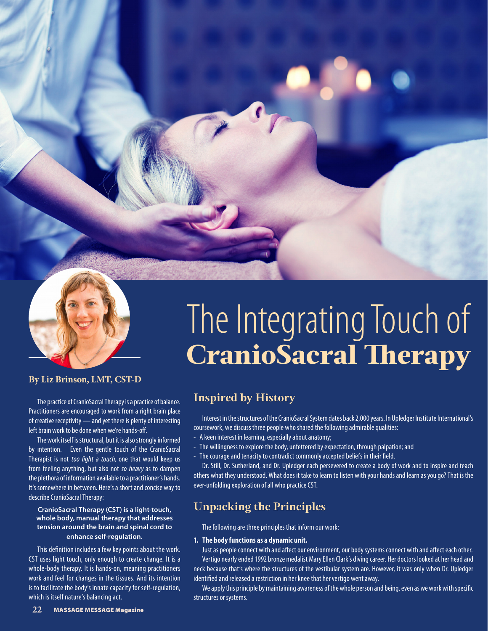

## **By Liz Brinson, LMT, CST-D**

The practice of CranioSacral Therapy is a practice of balance. Practitioners are encouraged to work from a right brain place of creative receptivity — and yet there is plenty of interesting left brain work to be done when we're hands-off.

The work itself is structural, but it is also strongly informed by intention. Even the gentle touch of the CranioSacral Therapist is not too light a touch, one that would keep us from feeling anything, but also not so heavy as to dampen the plethora of information available to a practitioner's hands. It's somewhere in between. Here's a short and concise way to describe CranioSacral Therapy:

## **CranioSacral Therapy (CST) is a light-touch, whole body, manual therapy that addresses tension around the brain and spinal cord to enhance self-regulation.**

This definition includes a few key points about the work. CST uses light touch, only enough to create change. It is a whole-body therapy. It is hands-on, meaning practitioners work and feel for changes in the tissues. And its intention is to facilitate the body's innate capacity for self-regulation, which is itself nature's balancing act.

# The Integrating Touch of CranioSacral Therapy

# **Inspired by History**

Interest in the structures of the CranioSacral System dates back 2,000 years. In Upledger Institute International's coursework, we discuss three people who shared the following admirable qualities:

- A keen interest in learning, especially about anatomy;
- The willingness to explore the body, unfettered by expectation, through palpation; and
- The courage and tenacity to contradict commonly accepted beliefs in their field.

Dr. Still, Dr. Sutherland, and Dr. Upledger each persevered to create a body of work and to inspire and teach others what they understood. What does it take to learn to listen with your hands and learn as you go? That is the ever-unfolding exploration of all who practice CST.

# **Unpacking the Principles**

The following are three principles that inform our work:

## **1. The body functions as a dynamic unit.**

Just as people connect with and affect our environment, our body systems connect with and affect each other. Vertigo nearly ended 1992 bronze medalist Mary Ellen Clark's diving career. Her doctors looked at her head and neck because that's where the structures of the vestibular system are. However, it was only when Dr. Upledger identified and released a restriction in her knee that her vertigo went away.

We apply this principle by maintaining awareness of the whole person and being, even as we work with specific structures or systems.